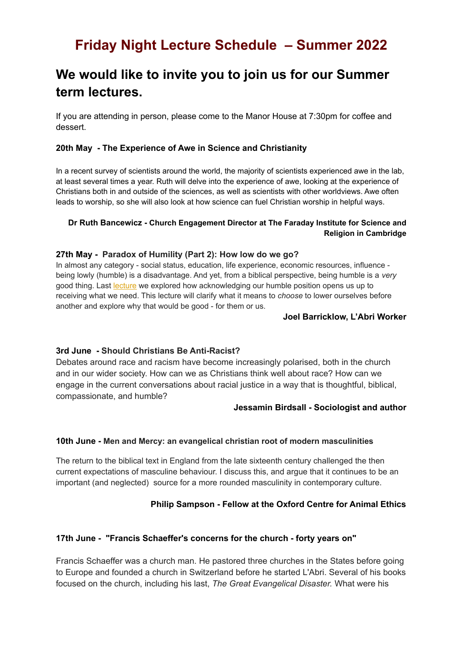# **Friday Night Lecture Schedule – Summer 2022**

# **We would like to invite you to join us for our Summer term lectures.**

If you are attending in person, please come to the Manor House at 7:30pm for coffee and dessert.

# **20th May - The Experience of Awe in Science and Christianity**

In a recent survey of scientists around the world, the majority of scientists experienced awe in the lab, at least several times a year. Ruth will delve into the experience of awe, looking at the experience of Christians both in and outside of the sciences, as well as scientists with other worldviews. Awe often leads to worship, so she will also look at how science can fuel Christian worship in helpful ways.

# **Dr Ruth Bancewicz - Church Engagement Director at The Faraday Institute for Science and Religion in Cambridge**

## **27th May - Paradox of Humility (Part 2): How low do we go?**

In almost any category - social status, education, life experience, economic resources, influence being lowly (humble) is a disadvantage. And yet, from a biblical perspective, being humble is a *very* good thing. Last [lecture](https://www.englishlabri.org/podcast/episode/3eb4f251/humility-and-the-upside-down-kingdom-of-god-joel-barricklow) we explored how acknowledging our humble position opens us up to receiving what we need. This lecture will clarify what it means to *choose* to lower ourselves before another and explore why that would be good - for them or us.

#### **Joel Barricklow, L'Abri Worker**

### **3rd June - Should Christians Be Anti-Racist?**

Debates around race and racism have become increasingly polarised, both in the church and in our wider society. How can we as Christians think well about race? How can we engage in the current conversations about racial justice in a way that is thoughtful, biblical, compassionate, and humble?

### **Jessamin Birdsall - Sociologist and author**

### **10th June - Men and Mercy: an evangelical christian root of modern masculinities**

The return to the biblical text in England from the late sixteenth century challenged the then current expectations of masculine behaviour. I discuss this, and argue that it continues to be an important (and neglected) source for a more rounded masculinity in contemporary culture.

### **Philip Sampson - Fellow at the Oxford Centre for Animal Ethics**

### **17th June - "Francis Schaeffer's concerns for the church - forty years on"**

Francis Schaeffer was a church man. He pastored three churches in the States before going to Europe and founded a church in Switzerland before he started L'Abri. Several of his books focused on the church, including his last, *The Great Evangelical Disaster.* What were his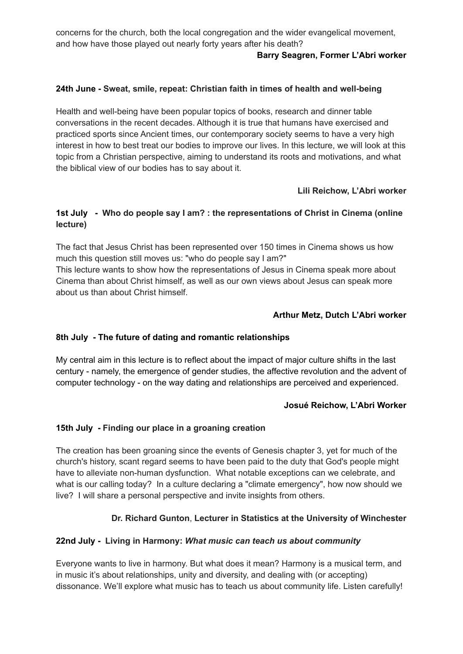concerns for the church, both the local congregation and the wider evangelical movement, and how have those played out nearly forty years after his death?

# **Barry Seagren, Former L'Abri worker**

# **24th June - Sweat, smile, repeat: Christian faith in times of health and well-being**

Health and well-being have been popular topics of books, research and dinner table conversations in the recent decades. Although it is true that humans have exercised and practiced sports since Ancient times, our contemporary society seems to have a very high interest in how to best treat our bodies to improve our lives. In this lecture, we will look at this topic from a Christian perspective, aiming to understand its roots and motivations, and what the biblical view of our bodies has to say about it.

# **Lili Reichow, L'Abri worker**

# **1st July - Who do people say I am? : the representations of Christ in Cinema (online lecture)**

The fact that Jesus Christ has been represented over 150 times in Cinema shows us how much this question still moves us: "who do people say I am?"

This lecture wants to show how the representations of Jesus in Cinema speak more about Cinema than about Christ himself, as well as our own views about Jesus can speak more about us than about Christ himself.

# **Arthur Metz, Dutch L'Abri worker**

# **8th July - The future of dating and romantic relationships**

My central aim in this lecture is to reflect about the impact of major culture shifts in the last century - namely, the emergence of gender studies, the affective revolution and the advent of computer technology - on the way dating and relationships are perceived and experienced.

# **Josué Reichow, L'Abri Worker**

# **15th July - Finding our place in a groaning creation**

The creation has been groaning since the events of Genesis chapter 3, yet for much of the church's history, scant regard seems to have been paid to the duty that God's people might have to alleviate non-human dysfunction. What notable exceptions can we celebrate, and what is our calling today? In a culture declaring a "climate emergency", how now should we live? I will share a personal perspective and invite insights from others.

# **Dr. Richard Gunton**, **Lecturer in Statistics at the University of Winchester**

# **22nd July - Living in Harmony:** *What music can teach us about community*

Everyone wants to live in harmony. But what does it mean? Harmony is a musical term, and in music it's about relationships, unity and diversity, and dealing with (or accepting) dissonance. We'll explore what music has to teach us about community life. Listen carefully!